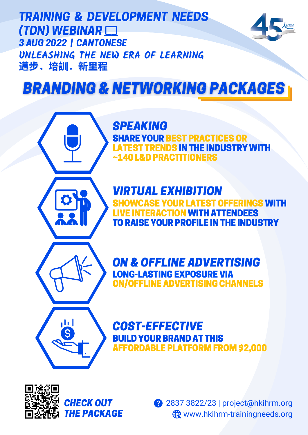TRAINING & DEVELOPMENT NEEDS (TDN) WEBINAR 3 AUG 2022 | CANTONESE **UNLEASHING THE NEW ERA OF LEARNING** 邁步.培訓.新⾥程



# **BRANDING & NETWORKING PACKAGES**

# SPEAKING **SHARE YOUR BEST PRACTICES OR** LATEST TRENDS IN THE INDUSTRY WITH ~140 L&D PRACTITIONERS

VIRTUAL EXHIBITION **SHOWCASE YOUR LATEST OFFERINGS WITH** LIVE INTERACTION WITH ATTENDEES TORAISE YOUR PROFILE INTHE INDUSTRY



ON & OFFLINE ADVERTISING LONG-LASTINGEXPOSURE VIA ON/OFFLINE ADVERTISING CHANNELS

# COST-EFFECTIVE BUILD YOUR BRAND AT THIS AFFORDABLE PLATFORM FROM \$2,000



CHECK OUT THE PACKAGE 2837 3822/23 | project@hkihrm.org www.hkihrm-trainingneeds.org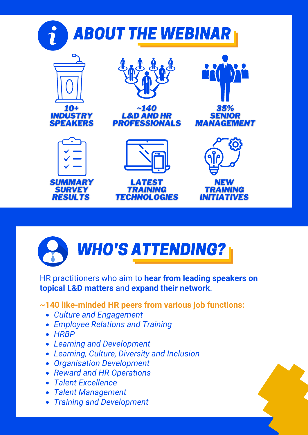

# WHO'S ATTENDING?

HR practitioners who aim to **hear from leading speakers on topical L&D matters** and **expand their network**.

## **~140 like-minded HR peers from various job functions:**

- *Culture and Engagement*
- *Employee Relations and Training*
- *HRBP*
- *Learning and Development*
- *Learning, Culture, Diversity and Inclusion*
- *Organisation Development*
- *Reward and HR Operations*
- *Talent Excellence*
- *Talent Management*
- *Training and Development*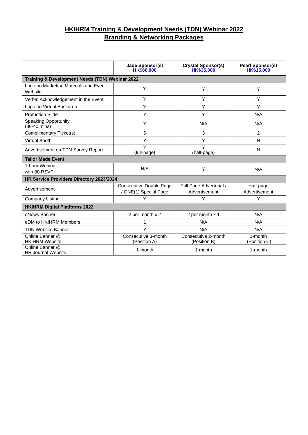### **HKIHRM Training & Development Needs (TDN) Webinar 2022 Branding & Networking Packages**

|                                                  | <b>Jade Sponsor(s)</b><br><b>HK\$60,000</b>      | <b>Crystal Sponsor(s)</b><br>HK\$35,000  | <b>Pearl Sponsor(s)</b><br><b>HK\$15,000</b> |  |  |
|--------------------------------------------------|--------------------------------------------------|------------------------------------------|----------------------------------------------|--|--|
| Training & Development Needs (TDN) Webinar 2022  |                                                  |                                          |                                              |  |  |
| Logo on Marketing Materials and Event<br>Website | Y                                                | Y                                        | Y                                            |  |  |
| Verbal Acknowledgement in the Event              | Y                                                | Y                                        | Y                                            |  |  |
| Logo on Virtual Backdrop                         | Y                                                | Y                                        | Y                                            |  |  |
| <b>Promotion Slide</b>                           | Y                                                | Y                                        | N/A                                          |  |  |
| <b>Speaking Opportunity</b><br>(30-40 mins)      | Y                                                | N/A                                      | N/A                                          |  |  |
| Complimentary Ticket(s)                          | 6                                                | 3                                        | $\overline{2}$                               |  |  |
| <b>Virtual Booth</b>                             | Y                                                | Y                                        | N                                            |  |  |
| Advertisement on TDN Survey Report               | Y<br>(full-page)                                 | Y<br>(half-page)                         | N                                            |  |  |
| <b>Tailor Made Event</b>                         |                                                  |                                          |                                              |  |  |
| 1-hour Webinar<br>with 80 RSVP                   | N/A                                              | Y                                        | N/A                                          |  |  |
| HR Service Providers Directory 2023/2024         |                                                  |                                          |                                              |  |  |
| Advertisement                                    | Consecutive Double Page<br>/ ONE(1) Special Page | Full Page Advertorial /<br>Advertisement | Half-page<br>Advertisement                   |  |  |
| Company Listing                                  | Υ                                                | Y                                        | Y                                            |  |  |
| <b>HKIHRM Digital Platforms 2022</b>             |                                                  |                                          |                                              |  |  |
| eNews Banner                                     | 2 per month x 2                                  | 2 per month x 1                          | N/A                                          |  |  |
| eDM to HKIHRM Members                            | 1                                                | N/A                                      | N/A                                          |  |  |
| <b>TDN Website Banner</b>                        | Υ                                                | N/A                                      | N/A                                          |  |  |
| Online Banner @<br><b>HKIHRM Website</b>         | Consecutive 3-month<br>(Position A)              | Consecutive 2-month<br>(Position B)      | 1-month<br>(Position C)                      |  |  |
| Online Banner @<br><b>HR</b> Journal Website     | 1-month                                          | 1-month                                  | 1-month                                      |  |  |